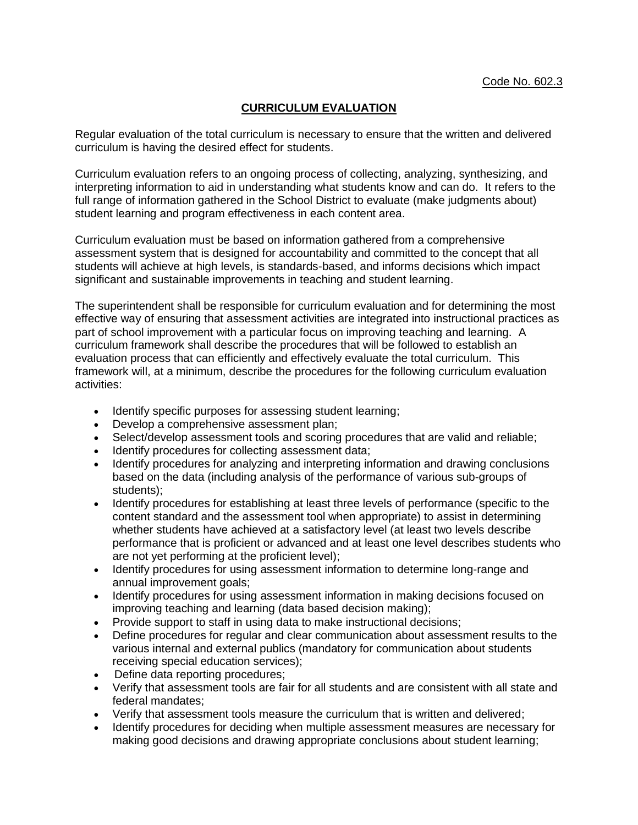## **CURRICULUM EVALUATION**

Regular evaluation of the total curriculum is necessary to ensure that the written and delivered curriculum is having the desired effect for students.

Curriculum evaluation refers to an ongoing process of collecting, analyzing, synthesizing, and interpreting information to aid in understanding what students know and can do. It refers to the full range of information gathered in the School District to evaluate (make judgments about) student learning and program effectiveness in each content area.

Curriculum evaluation must be based on information gathered from a comprehensive assessment system that is designed for accountability and committed to the concept that all students will achieve at high levels, is standards-based, and informs decisions which impact significant and sustainable improvements in teaching and student learning.

The superintendent shall be responsible for curriculum evaluation and for determining the most effective way of ensuring that assessment activities are integrated into instructional practices as part of school improvement with a particular focus on improving teaching and learning. A curriculum framework shall describe the procedures that will be followed to establish an evaluation process that can efficiently and effectively evaluate the total curriculum. This framework will, at a minimum, describe the procedures for the following curriculum evaluation activities:

- Identify specific purposes for assessing student learning;
- Develop a comprehensive assessment plan;
- Select/develop assessment tools and scoring procedures that are valid and reliable;
- Identify procedures for collecting assessment data:
- Identify procedures for analyzing and interpreting information and drawing conclusions based on the data (including analysis of the performance of various sub-groups of students);
- Identify procedures for establishing at least three levels of performance (specific to the content standard and the assessment tool when appropriate) to assist in determining whether students have achieved at a satisfactory level (at least two levels describe performance that is proficient or advanced and at least one level describes students who are not yet performing at the proficient level);
- Identify procedures for using assessment information to determine long-range and annual improvement goals;
- Identify procedures for using assessment information in making decisions focused on improving teaching and learning (data based decision making);
- Provide support to staff in using data to make instructional decisions;
- Define procedures for regular and clear communication about assessment results to the various internal and external publics (mandatory for communication about students receiving special education services);
- Define data reporting procedures;
- Verify that assessment tools are fair for all students and are consistent with all state and federal mandates;
- Verify that assessment tools measure the curriculum that is written and delivered;
- Identify procedures for deciding when multiple assessment measures are necessary for making good decisions and drawing appropriate conclusions about student learning;